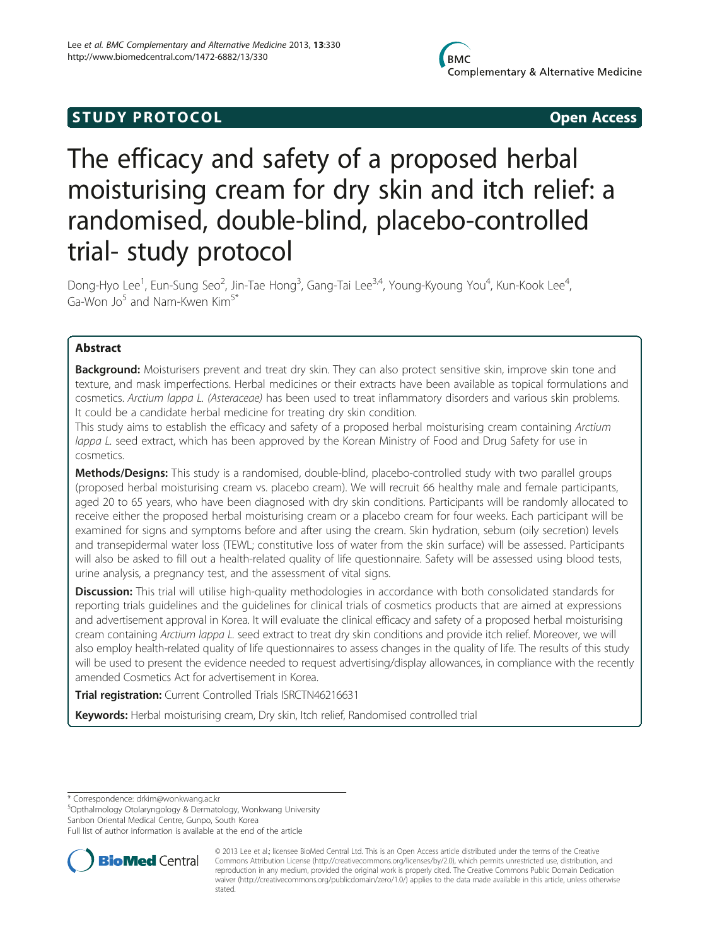# **STUDY PROTOCOL CONSUMING THE STUDY PROTOCOL**

# The efficacy and safety of a proposed herbal moisturising cream for dry skin and itch relief: a randomised, double-blind, placebo-controlled trial- study protocol

Dong-Hyo Lee<sup>1</sup>, Eun-Sung Seo<sup>2</sup>, Jin-Tae Hong<sup>3</sup>, Gang-Tai Lee<sup>3,4</sup>, Young-Kyoung You<sup>4</sup>, Kun-Kook Lee<sup>4</sup> , Ga-Won  $10^5$  and Nam-Kwen Kim<sup>5\*</sup>

# Abstract

Background: Moisturisers prevent and treat dry skin. They can also protect sensitive skin, improve skin tone and texture, and mask imperfections. Herbal medicines or their extracts have been available as topical formulations and cosmetics. Arctium lappa L. (Asteraceae) has been used to treat inflammatory disorders and various skin problems. It could be a candidate herbal medicine for treating dry skin condition.

This study aims to establish the efficacy and safety of a proposed herbal moisturising cream containing Arctium lappa L. seed extract, which has been approved by the Korean Ministry of Food and Drug Safety for use in cosmetics.

Methods/Designs: This study is a randomised, double-blind, placebo-controlled study with two parallel groups (proposed herbal moisturising cream vs. placebo cream). We will recruit 66 healthy male and female participants, aged 20 to 65 years, who have been diagnosed with dry skin conditions. Participants will be randomly allocated to receive either the proposed herbal moisturising cream or a placebo cream for four weeks. Each participant will be examined for signs and symptoms before and after using the cream. Skin hydration, sebum (oily secretion) levels and transepidermal water loss (TEWL; constitutive loss of water from the skin surface) will be assessed. Participants will also be asked to fill out a health-related quality of life questionnaire. Safety will be assessed using blood tests, urine analysis, a pregnancy test, and the assessment of vital signs.

Discussion: This trial will utilise high-quality methodologies in accordance with both consolidated standards for reporting trials guidelines and the guidelines for clinical trials of cosmetics products that are aimed at expressions and advertisement approval in Korea. It will evaluate the clinical efficacy and safety of a proposed herbal moisturising cream containing Arctium lappa L. seed extract to treat dry skin conditions and provide itch relief. Moreover, we will also employ health-related quality of life questionnaires to assess changes in the quality of life. The results of this study will be used to present the evidence needed to request advertising/display allowances, in compliance with the recently amended Cosmetics Act for advertisement in Korea.

Trial registration: Current Controlled Trials [ISRCTN46216631](http://www.controlled-trials.com/ISRCTN46216631)

Keywords: Herbal moisturising cream, Dry skin, Itch relief, Randomised controlled trial

\* Correspondence: [drkim@wonkwang.ac.kr](mailto:drkim@wonkwang.ac.kr) <sup>5</sup>

<sup>5</sup>Opthalmology Otolaryngology & Dermatology, Wonkwang University

Sanbon Oriental Medical Centre, Gunpo, South Korea

Full list of author information is available at the end of the article



<sup>© 2013</sup> Lee et al.; licensee BioMed Central Ltd. This is an Open Access article distributed under the terms of the Creative Commons Attribution License [\(http://creativecommons.org/licenses/by/2.0\)](http://creativecommons.org/licenses/by/2.0), which permits unrestricted use, distribution, and reproduction in any medium, provided the original work is properly cited. The Creative Commons Public Domain Dedication waiver [\(http://creativecommons.org/publicdomain/zero/1.0/\)](http://creativecommons.org/publicdomain/zero/1.0/) applies to the data made available in this article, unless otherwise stated.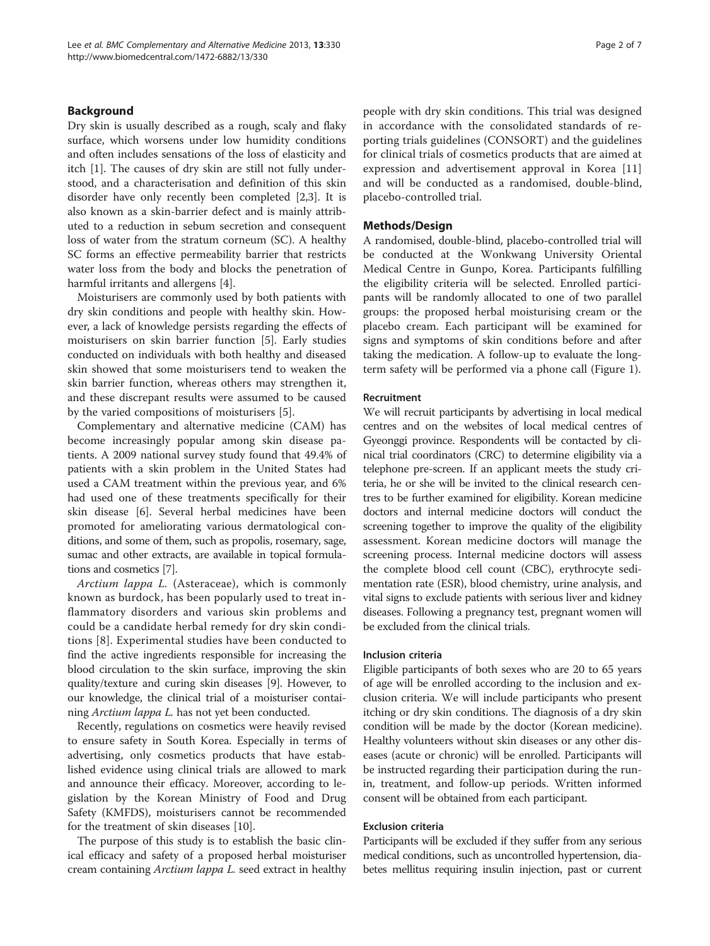# Background

Dry skin is usually described as a rough, scaly and flaky surface, which worsens under low humidity conditions and often includes sensations of the loss of elasticity and itch [[1\]](#page-6-0). The causes of dry skin are still not fully understood, and a characterisation and definition of this skin disorder have only recently been completed [\[2,3](#page-6-0)]. It is also known as a skin-barrier defect and is mainly attributed to a reduction in sebum secretion and consequent loss of water from the stratum corneum (SC). A healthy SC forms an effective permeability barrier that restricts water loss from the body and blocks the penetration of harmful irritants and allergens [\[4](#page-6-0)].

Moisturisers are commonly used by both patients with dry skin conditions and people with healthy skin. However, a lack of knowledge persists regarding the effects of moisturisers on skin barrier function [\[5](#page-6-0)]. Early studies conducted on individuals with both healthy and diseased skin showed that some moisturisers tend to weaken the skin barrier function, whereas others may strengthen it, and these discrepant results were assumed to be caused by the varied compositions of moisturisers [\[5](#page-6-0)].

Complementary and alternative medicine (CAM) has become increasingly popular among skin disease patients. A 2009 national survey study found that 49.4% of patients with a skin problem in the United States had used a CAM treatment within the previous year, and 6% had used one of these treatments specifically for their skin disease [\[6](#page-6-0)]. Several herbal medicines have been promoted for ameliorating various dermatological conditions, and some of them, such as propolis, rosemary, sage, sumac and other extracts, are available in topical formulations and cosmetics [\[7\]](#page-6-0).

Arctium lappa L. (Asteraceae), which is commonly known as burdock, has been popularly used to treat inflammatory disorders and various skin problems and could be a candidate herbal remedy for dry skin conditions [[8](#page-6-0)]. Experimental studies have been conducted to find the active ingredients responsible for increasing the blood circulation to the skin surface, improving the skin quality/texture and curing skin diseases [\[9\]](#page-6-0). However, to our knowledge, the clinical trial of a moisturiser containing Arctium lappa L. has not yet been conducted.

Recently, regulations on cosmetics were heavily revised to ensure safety in South Korea. Especially in terms of advertising, only cosmetics products that have established evidence using clinical trials are allowed to mark and announce their efficacy. Moreover, according to legislation by the Korean Ministry of Food and Drug Safety (KMFDS), moisturisers cannot be recommended for the treatment of skin diseases [\[10\]](#page-6-0).

The purpose of this study is to establish the basic clinical efficacy and safety of a proposed herbal moisturiser cream containing Arctium lappa L. seed extract in healthy in accordance with the consolidated standards of reporting trials guidelines (CONSORT) and the guidelines for clinical trials of cosmetics products that are aimed at expression and advertisement approval in Korea [\[11](#page-6-0)] and will be conducted as a randomised, double-blind, placebo-controlled trial.

# Methods/Design

A randomised, double-blind, placebo-controlled trial will be conducted at the Wonkwang University Oriental Medical Centre in Gunpo, Korea. Participants fulfilling the eligibility criteria will be selected. Enrolled participants will be randomly allocated to one of two parallel groups: the proposed herbal moisturising cream or the placebo cream. Each participant will be examined for signs and symptoms of skin conditions before and after taking the medication. A follow-up to evaluate the longterm safety will be performed via a phone call (Figure [1\)](#page-2-0).

# Recruitment

We will recruit participants by advertising in local medical centres and on the websites of local medical centres of Gyeonggi province. Respondents will be contacted by clinical trial coordinators (CRC) to determine eligibility via a telephone pre-screen. If an applicant meets the study criteria, he or she will be invited to the clinical research centres to be further examined for eligibility. Korean medicine doctors and internal medicine doctors will conduct the screening together to improve the quality of the eligibility assessment. Korean medicine doctors will manage the screening process. Internal medicine doctors will assess the complete blood cell count (CBC), erythrocyte sedimentation rate (ESR), blood chemistry, urine analysis, and vital signs to exclude patients with serious liver and kidney diseases. Following a pregnancy test, pregnant women will be excluded from the clinical trials.

# Inclusion criteria

Eligible participants of both sexes who are 20 to 65 years of age will be enrolled according to the inclusion and exclusion criteria. We will include participants who present itching or dry skin conditions. The diagnosis of a dry skin condition will be made by the doctor (Korean medicine). Healthy volunteers without skin diseases or any other diseases (acute or chronic) will be enrolled. Participants will be instructed regarding their participation during the runin, treatment, and follow-up periods. Written informed consent will be obtained from each participant.

# Exclusion criteria

Participants will be excluded if they suffer from any serious medical conditions, such as uncontrolled hypertension, diabetes mellitus requiring insulin injection, past or current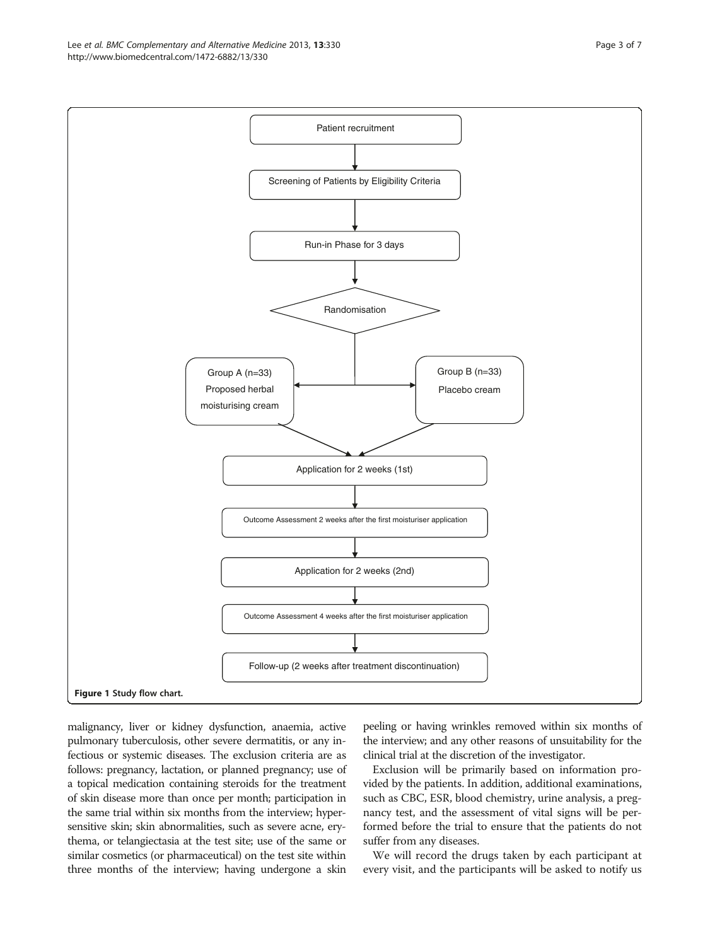<span id="page-2-0"></span>Lee et al. BMC Complementary and Alternative Medicine 2013, 13:330 Page 3 of 7 http://www.biomedcentral.com/1472-6882/13/330



malignancy, liver or kidney dysfunction, anaemia, active pulmonary tuberculosis, other severe dermatitis, or any infectious or systemic diseases. The exclusion criteria are as follows: pregnancy, lactation, or planned pregnancy; use of a topical medication containing steroids for the treatment of skin disease more than once per month; participation in the same trial within six months from the interview; hypersensitive skin; skin abnormalities, such as severe acne, erythema, or telangiectasia at the test site; use of the same or similar cosmetics (or pharmaceutical) on the test site within three months of the interview; having undergone a skin

peeling or having wrinkles removed within six months of the interview; and any other reasons of unsuitability for the clinical trial at the discretion of the investigator.

Exclusion will be primarily based on information provided by the patients. In addition, additional examinations, such as CBC, ESR, blood chemistry, urine analysis, a pregnancy test, and the assessment of vital signs will be performed before the trial to ensure that the patients do not suffer from any diseases.

We will record the drugs taken by each participant at every visit, and the participants will be asked to notify us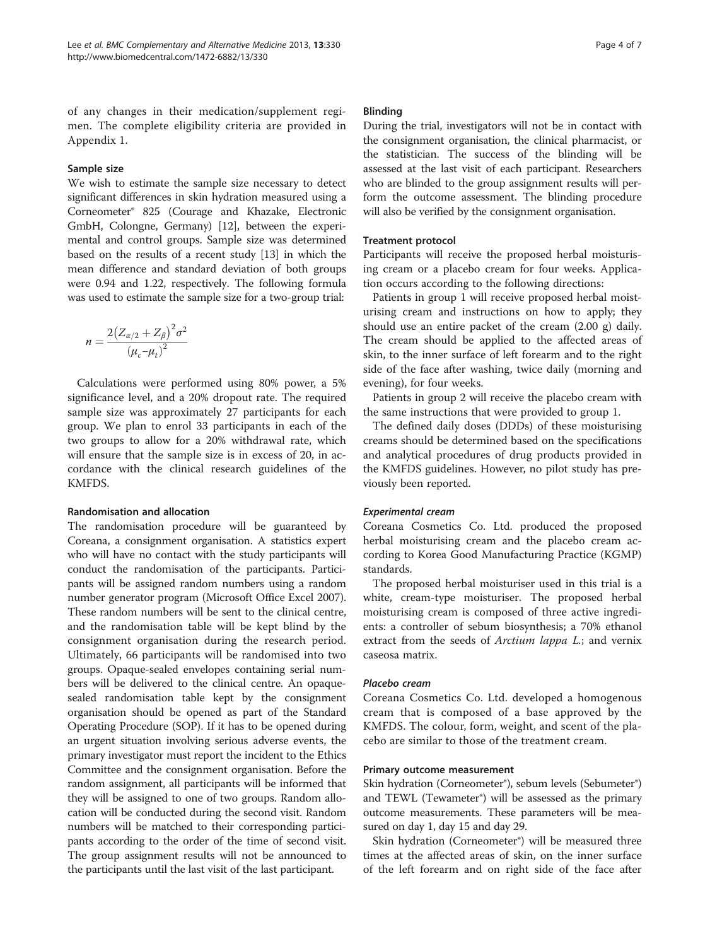of any changes in their medication/supplement regimen. The complete eligibility criteria are provided in Appendix [1](#page-5-0).

### Sample size

We wish to estimate the sample size necessary to detect significant differences in skin hydration measured using a Corneometer® 825 (Courage and Khazake, Electronic GmbH, Colongne, Germany) [\[12\]](#page-6-0), between the experimental and control groups. Sample size was determined based on the results of a recent study [[13](#page-6-0)] in which the mean difference and standard deviation of both groups were 0.94 and 1.22, respectively. The following formula was used to estimate the sample size for a two-group trial:

$$
n = \frac{2(Z_{\alpha/2} + Z_{\beta})^2 \sigma^2}{(\mu_c - \mu_t)^2}
$$

Calculations were performed using 80% power, a 5% significance level, and a 20% dropout rate. The required sample size was approximately 27 participants for each group. We plan to enrol 33 participants in each of the two groups to allow for a 20% withdrawal rate, which will ensure that the sample size is in excess of 20, in accordance with the clinical research guidelines of the KMFDS.

#### Randomisation and allocation

The randomisation procedure will be guaranteed by Coreana, a consignment organisation. A statistics expert who will have no contact with the study participants will conduct the randomisation of the participants. Participants will be assigned random numbers using a random number generator program (Microsoft Office Excel 2007). These random numbers will be sent to the clinical centre, and the randomisation table will be kept blind by the consignment organisation during the research period. Ultimately, 66 participants will be randomised into two groups. Opaque-sealed envelopes containing serial numbers will be delivered to the clinical centre. An opaquesealed randomisation table kept by the consignment organisation should be opened as part of the Standard Operating Procedure (SOP). If it has to be opened during an urgent situation involving serious adverse events, the primary investigator must report the incident to the Ethics Committee and the consignment organisation. Before the random assignment, all participants will be informed that they will be assigned to one of two groups. Random allocation will be conducted during the second visit. Random numbers will be matched to their corresponding participants according to the order of the time of second visit. The group assignment results will not be announced to the participants until the last visit of the last participant.

#### Blinding

During the trial, investigators will not be in contact with the consignment organisation, the clinical pharmacist, or the statistician. The success of the blinding will be assessed at the last visit of each participant. Researchers who are blinded to the group assignment results will perform the outcome assessment. The blinding procedure will also be verified by the consignment organisation.

# Treatment protocol

Participants will receive the proposed herbal moisturising cream or a placebo cream for four weeks. Application occurs according to the following directions:

Patients in group 1 will receive proposed herbal moisturising cream and instructions on how to apply; they should use an entire packet of the cream (2.00 g) daily. The cream should be applied to the affected areas of skin, to the inner surface of left forearm and to the right side of the face after washing, twice daily (morning and evening), for four weeks.

Patients in group 2 will receive the placebo cream with the same instructions that were provided to group 1.

The defined daily doses (DDDs) of these moisturising creams should be determined based on the specifications and analytical procedures of drug products provided in the KMFDS guidelines. However, no pilot study has previously been reported.

#### Experimental cream

Coreana Cosmetics Co. Ltd. produced the proposed herbal moisturising cream and the placebo cream according to Korea Good Manufacturing Practice (KGMP) standards.

The proposed herbal moisturiser used in this trial is a white, cream-type moisturiser. The proposed herbal moisturising cream is composed of three active ingredients: a controller of sebum biosynthesis; a 70% ethanol extract from the seeds of *Arctium lappa L*.; and vernix caseosa matrix.

# Placebo cream

Coreana Cosmetics Co. Ltd. developed a homogenous cream that is composed of a base approved by the KMFDS. The colour, form, weight, and scent of the placebo are similar to those of the treatment cream.

# Primary outcome measurement

Skin hydration (Corneometer®), sebum levels (Sebumeter®) and TEWL (Tewameter®) will be assessed as the primary outcome measurements. These parameters will be measured on day 1, day 15 and day 29.

Skin hydration (Corneometer®) will be measured three times at the affected areas of skin, on the inner surface of the left forearm and on right side of the face after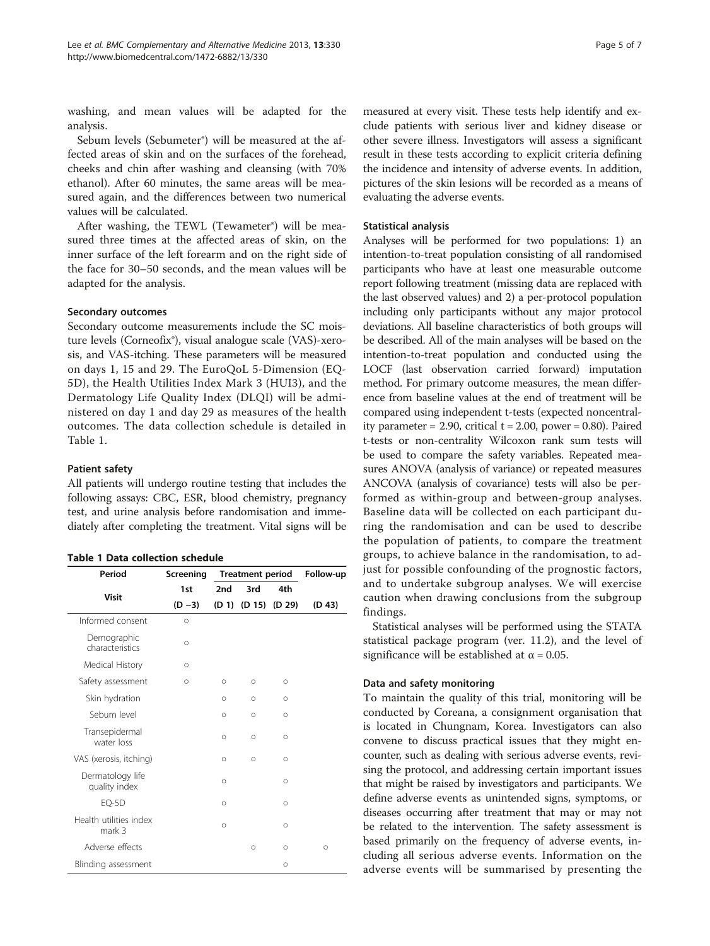washing, and mean values will be adapted for the analysis.

Sebum levels (Sebumeter®) will be measured at the affected areas of skin and on the surfaces of the forehead, cheeks and chin after washing and cleansing (with 70% ethanol). After 60 minutes, the same areas will be measured again, and the differences between two numerical values will be calculated.

After washing, the TEWL (Tewameter®) will be measured three times at the affected areas of skin, on the inner surface of the left forearm and on the right side of the face for 30–50 seconds, and the mean values will be adapted for the analysis.

#### Secondary outcomes

Secondary outcome measurements include the SC moisture levels (Corneofix®), visual analogue scale (VAS)-xerosis, and VAS-itching. These parameters will be measured on days 1, 15 and 29. The EuroQoL 5-Dimension (EQ-5D), the Health Utilities Index Mark 3 (HUI3), and the Dermatology Life Quality Index (DLQI) will be administered on day 1 and day 29 as measures of the health outcomes. The data collection schedule is detailed in Table 1.

#### Patient safety

All patients will undergo routine testing that includes the following assays: CBC, ESR, blood chemistry, pregnancy test, and urine analysis before randomisation and immediately after completing the treatment. Vital signs will be

Table 1 Data collection schedule

| Period                            | Screening | <b>Treatment period</b> |                           |         | Follow-up |
|-----------------------------------|-----------|-------------------------|---------------------------|---------|-----------|
| <b>Visit</b>                      | 1st       | 2nd                     | 3rd                       | 4th     |           |
|                                   | $(D - 3)$ |                         | $(D 1)$ $(D 15)$ $(D 29)$ |         | (D 43)    |
| Informed consent                  | $\circ$   |                         |                           |         |           |
| Demographic<br>characteristics    | $\circ$   |                         |                           |         |           |
| Medical History                   | $\circ$   |                         |                           |         |           |
| Safety assessment                 | $\circ$   | $\circ$                 | $\circ$                   | $\circ$ |           |
| Skin hydration                    |           | $\circ$                 | $\circ$                   | $\circ$ |           |
| Sebum level                       |           | $\circ$                 | $\circ$                   | $\circ$ |           |
| Transepidermal<br>water loss      |           | $\circ$                 | $\circ$                   | $\circ$ |           |
| VAS (xerosis, itching)            |           | $\circ$                 | $\circ$                   | $\circ$ |           |
| Dermatology life<br>quality index |           | $\circ$                 |                           | $\circ$ |           |
| EQ-5D                             |           | $\circ$                 |                           | $\circ$ |           |
| Health utilities index<br>mark 3  |           | $\circ$                 |                           | $\circ$ |           |
| Adverse effects                   |           |                         | $\circ$                   | $\circ$ | $\circ$   |
| Blinding assessment               |           |                         |                           | $\circ$ |           |

measured at every visit. These tests help identify and exclude patients with serious liver and kidney disease or other severe illness. Investigators will assess a significant result in these tests according to explicit criteria defining the incidence and intensity of adverse events. In addition, pictures of the skin lesions will be recorded as a means of evaluating the adverse events.

#### Statistical analysis

Analyses will be performed for two populations: 1) an intention-to-treat population consisting of all randomised participants who have at least one measurable outcome report following treatment (missing data are replaced with the last observed values) and 2) a per-protocol population including only participants without any major protocol deviations. All baseline characteristics of both groups will be described. All of the main analyses will be based on the intention-to-treat population and conducted using the LOCF (last observation carried forward) imputation method. For primary outcome measures, the mean difference from baseline values at the end of treatment will be compared using independent t-tests (expected noncentrality parameter = 2.90, critical  $t = 2.00$ , power = 0.80). Paired t-tests or non-centrality Wilcoxon rank sum tests will be used to compare the safety variables. Repeated measures ANOVA (analysis of variance) or repeated measures ANCOVA (analysis of covariance) tests will also be performed as within-group and between-group analyses. Baseline data will be collected on each participant during the randomisation and can be used to describe the population of patients, to compare the treatment groups, to achieve balance in the randomisation, to adjust for possible confounding of the prognostic factors, and to undertake subgroup analyses. We will exercise caution when drawing conclusions from the subgroup findings.

Statistical analyses will be performed using the STATA statistical package program (ver. 11.2), and the level of significance will be established at  $\alpha$  = 0.05.

# Data and safety monitoring

To maintain the quality of this trial, monitoring will be conducted by Coreana, a consignment organisation that is located in Chungnam, Korea. Investigators can also convene to discuss practical issues that they might encounter, such as dealing with serious adverse events, revising the protocol, and addressing certain important issues that might be raised by investigators and participants. We define adverse events as unintended signs, symptoms, or diseases occurring after treatment that may or may not be related to the intervention. The safety assessment is based primarily on the frequency of adverse events, including all serious adverse events. Information on the adverse events will be summarised by presenting the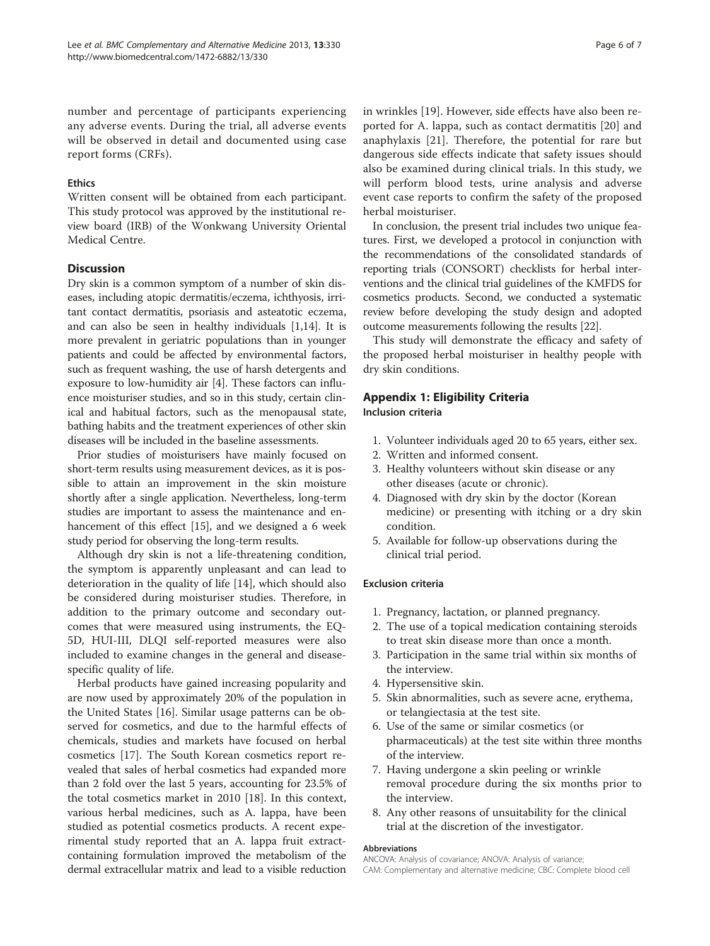<span id="page-5-0"></span>number and percentage of participants experiencing any adverse events. During the trial, all adverse events will be observed in detail and documented using case report forms (CRFs).

# Ethics

Written consent will be obtained from each participant. This study protocol was approved by the institutional review board (IRB) of the Wonkwang University Oriental Medical Centre.

# **Discussion**

Dry skin is a common symptom of a number of skin diseases, including atopic dermatitis/eczema, ichthyosis, irritant contact dermatitis, psoriasis and asteatotic eczema, and can also be seen in healthy individuals [\[1,14\]](#page-6-0). It is more prevalent in geriatric populations than in younger patients and could be affected by environmental factors, such as frequent washing, the use of harsh detergents and exposure to low-humidity air [\[4\]](#page-6-0). These factors can influence moisturiser studies, and so in this study, certain clinical and habitual factors, such as the menopausal state, bathing habits and the treatment experiences of other skin diseases will be included in the baseline assessments.

Prior studies of moisturisers have mainly focused on short-term results using measurement devices, as it is possible to attain an improvement in the skin moisture shortly after a single application. Nevertheless, long-term studies are important to assess the maintenance and enhancement of this effect [\[15\]](#page-6-0), and we designed a 6 week study period for observing the long-term results.

Although dry skin is not a life-threatening condition, the symptom is apparently unpleasant and can lead to deterioration in the quality of life [\[14\]](#page-6-0), which should also be considered during moisturiser studies. Therefore, in addition to the primary outcome and secondary outcomes that were measured using instruments, the EQ-5D, HUI-III, DLQI self-reported measures were also included to examine changes in the general and diseasespecific quality of life.

Herbal products have gained increasing popularity and are now used by approximately 20% of the population in the United States [\[16\]](#page-6-0). Similar usage patterns can be observed for cosmetics, and due to the harmful effects of chemicals, studies and markets have focused on herbal cosmetics [[17\]](#page-6-0). The South Korean cosmetics report revealed that sales of herbal cosmetics had expanded more than 2 fold over the last 5 years, accounting for 23.5% of the total cosmetics market in 2010 [[18](#page-6-0)]. In this context, various herbal medicines, such as A. lappa, have been studied as potential cosmetics products. A recent experimental study reported that an A. lappa fruit extractcontaining formulation improved the metabolism of the dermal extracellular matrix and lead to a visible reduction

in wrinkles [\[19](#page-6-0)]. However, side effects have also been reported for A. lappa, such as contact dermatitis [[20\]](#page-6-0) and anaphylaxis [[21\]](#page-6-0). Therefore, the potential for rare but dangerous side effects indicate that safety issues should also be examined during clinical trials. In this study, we will perform blood tests, urine analysis and adverse event case reports to confirm the safety of the proposed herbal moisturiser.

In conclusion, the present trial includes two unique features. First, we developed a protocol in conjunction with the recommendations of the consolidated standards of reporting trials (CONSORT) checklists for herbal interventions and the clinical trial guidelines of the KMFDS for cosmetics products. Second, we conducted a systematic review before developing the study design and adopted outcome measurements following the results [\[22\]](#page-6-0).

This study will demonstrate the efficacy and safety of the proposed herbal moisturiser in healthy people with dry skin conditions.

# Appendix 1: Eligibility Criteria Inclusion criteria

- 1. Volunteer individuals aged 20 to 65 years, either sex.
- 2. Written and informed consent.
- 3. Healthy volunteers without skin disease or any other diseases (acute or chronic).
- 4. Diagnosed with dry skin by the doctor (Korean medicine) or presenting with itching or a dry skin condition.
- 5. Available for follow-up observations during the clinical trial period.

# Exclusion criteria

- 1. Pregnancy, lactation, or planned pregnancy.
- 2. The use of a topical medication containing steroids to treat skin disease more than once a month.
- 3. Participation in the same trial within six months of the interview.
- 4. Hypersensitive skin.
- 5. Skin abnormalities, such as severe acne, erythema, or telangiectasia at the test site.
- 6. Use of the same or similar cosmetics (or pharmaceuticals) at the test site within three months of the interview.
- 7. Having undergone a skin peeling or wrinkle removal procedure during the six months prior to the interview.
- 8. Any other reasons of unsuitability for the clinical trial at the discretion of the investigator.

# Abbreviations

ANCOVA: Analysis of covariance; ANOVA: Analysis of variance; CAM: Complementary and alternative medicine; CBC: Complete blood cell